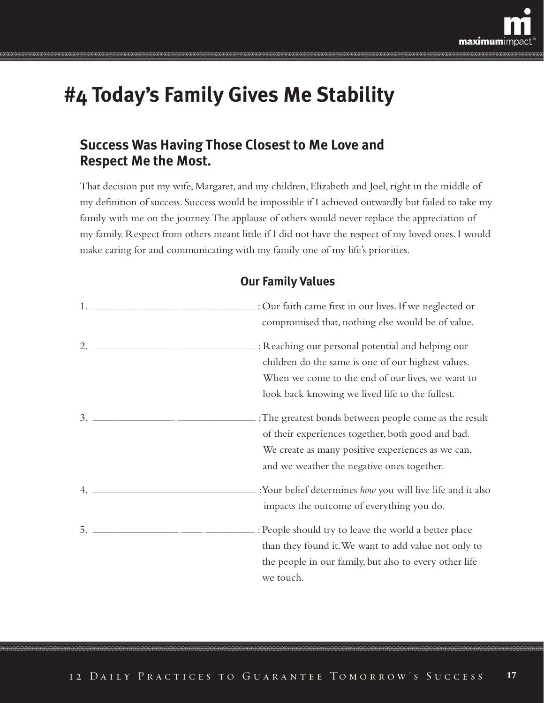

## **#4 Today's Family Gives Me Stability**

### **Success Was Having Those Closest to Me Love and Respect Me the Most.**

That decision put my wife, Margaret, and my children, Elizabeth and Joel, right in the middle of my definition of success. Success would be impossible if I achieved outwardly but failed to take my family with me on the journey.The applause of others would never replace the appreciation of my family. Respect from others meant little if I did not have the respect of my loved ones. I would make caring for and communicating with my family one of my life's priorities.

### **Our Family Values**

|                                                                                                                                                                                                                                                                                                                        | compromised that, nothing else would be of value.                                                                                                                                                               |
|------------------------------------------------------------------------------------------------------------------------------------------------------------------------------------------------------------------------------------------------------------------------------------------------------------------------|-----------------------------------------------------------------------------------------------------------------------------------------------------------------------------------------------------------------|
| 2. $\frac{1}{2}$ $\frac{1}{2}$ $\frac{1}{2}$ $\frac{1}{2}$ $\frac{1}{2}$ $\frac{1}{2}$ $\frac{1}{2}$ $\frac{1}{2}$ $\frac{1}{2}$ $\frac{1}{2}$ $\frac{1}{2}$ $\frac{1}{2}$ $\frac{1}{2}$ $\frac{1}{2}$ $\frac{1}{2}$ $\frac{1}{2}$ $\frac{1}{2}$ $\frac{1}{2}$ $\frac{1}{2}$ $\frac{1}{2}$ $\frac{1}{2}$ $\frac{1}{2}$ | .: Reaching our personal potential and helping our<br>children do the same is one of our highest values.<br>When we come to the end of our lives, we want to<br>look back knowing we lived life to the fullest. |
|                                                                                                                                                                                                                                                                                                                        | :The greatest bonds between people come as the result<br>of their experiences together, both good and bad.<br>We create as many positive experiences as we can,<br>and we weather the negative ones together.   |
|                                                                                                                                                                                                                                                                                                                        | : Your belief determines how you will live life and it also<br>impacts the outcome of everything you do.                                                                                                        |
| 5.                                                                                                                                                                                                                                                                                                                     | : People should try to leave the world a better place<br>than they found it. We want to add value not only to<br>the people in our family, but also to every other life<br>we touch.                            |